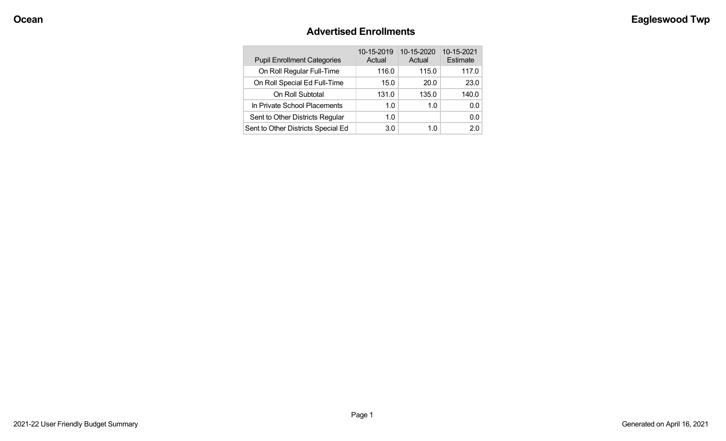### **Advertised Enrollments**

| <b>Pupil Enrollment Categories</b> | 10-15-2019<br>Actual | 10-15-2020<br>Actual | 10-15-2021<br>Estimate |
|------------------------------------|----------------------|----------------------|------------------------|
| On Roll Regular Full-Time          | 116.0                | 115.0                | 117.0                  |
| On Roll Special Ed Full-Time       | 15.0                 | 20.0                 | 23.0                   |
| On Roll Subtotal                   | 131.0                | 135.0                | 140.0                  |
| In Private School Placements       | 1.0                  | 1.0                  | 0.0                    |
| Sent to Other Districts Regular    | 1.0                  |                      | 0.0                    |
| Sent to Other Districts Special Ed | 3.0                  | 1.0                  | 2.0                    |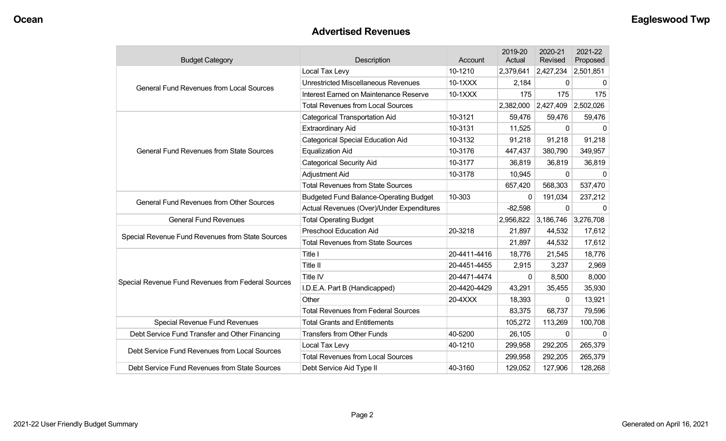### **Advertised Revenues**

| <b>Budget Category</b>                             | Description                                   | Account      | 2019-20<br>Actual | 2020-21<br>Revised  | 2021-22<br>Proposed |
|----------------------------------------------------|-----------------------------------------------|--------------|-------------------|---------------------|---------------------|
|                                                    | Local Tax Levy                                | 10-1210      | 2,379,641         | 2,427,234           | 2,501,851           |
| <b>General Fund Revenues from Local Sources</b>    | <b>Unrestricted Miscellaneous Revenues</b>    | 10-1XXX      | 2,184             | 0                   | 0                   |
|                                                    | Interest Earned on Maintenance Reserve        | 10-1XXX      | 175               | 175                 | 175                 |
|                                                    | <b>Total Revenues from Local Sources</b>      |              | 2,382,000         | 2,427,409           | 2,502,026           |
|                                                    | <b>Categorical Transportation Aid</b>         | 10-3121      | 59,476            | 59,476              | 59,476              |
|                                                    | <b>Extraordinary Aid</b>                      | 10-3131      | 11,525            | $\Omega$            | $\Omega$            |
|                                                    | <b>Categorical Special Education Aid</b>      | 10-3132      | 91,218            | 91,218              | 91,218              |
| <b>General Fund Revenues from State Sources</b>    | <b>Equalization Aid</b>                       | 10-3176      | 447,437           | 380,790             | 349,957             |
|                                                    | <b>Categorical Security Aid</b>               | 10-3177      | 36,819            | 36,819              | 36,819              |
|                                                    | Adjustment Aid                                | 10-3178      | 10,945            | $\mathbf{0}$        |                     |
|                                                    | <b>Total Revenues from State Sources</b>      |              | 657,420           | 568,303             | 537,470             |
| <b>General Fund Revenues from Other Sources</b>    | <b>Budgeted Fund Balance-Operating Budget</b> | 10-303       | 0                 | 191,034             | 237,212             |
|                                                    | Actual Revenues (Over)/Under Expenditures     |              | $-82,598$         | $\mathbf{0}$        | $\Omega$            |
| <b>General Fund Revenues</b>                       | <b>Total Operating Budget</b>                 |              | 2,956,822         | 3,186,746 3,276,708 |                     |
| Special Revenue Fund Revenues from State Sources   | <b>Preschool Education Aid</b>                | 20-3218      | 21,897            | 44,532              | 17,612              |
|                                                    | <b>Total Revenues from State Sources</b>      |              | 21,897            | 44,532              | 17,612              |
|                                                    | Title I                                       | 20-4411-4416 | 18,776            | 21,545              | 18,776              |
|                                                    | Title II                                      | 20-4451-4455 | 2,915             | 3,237               | 2,969               |
| Special Revenue Fund Revenues from Federal Sources | Title IV                                      | 20-4471-4474 | $\Omega$          | 8,500               | 8,000               |
|                                                    | I.D.E.A. Part B (Handicapped)                 | 20-4420-4429 | 43,291            | 35,455              | 35,930              |
|                                                    | Other                                         | 20-4XXX      | 18,393            | $\Omega$            | 13,921              |
|                                                    | <b>Total Revenues from Federal Sources</b>    |              | 83,375            | 68,737              | 79,596              |
| Special Revenue Fund Revenues                      | <b>Total Grants and Entitlements</b>          |              | 105,272           | 113,269             | 100,708             |
| Debt Service Fund Transfer and Other Financing     | <b>Transfers from Other Funds</b>             | 40-5200      | 26,105            | $\mathbf{0}$        | $\mathbf{0}$        |
| Debt Service Fund Revenues from Local Sources      | Local Tax Levy                                | 40-1210      | 299,958           | 292,205             | 265,379             |
|                                                    | <b>Total Revenues from Local Sources</b>      |              | 299,958           | 292,205             | 265,379             |
| Debt Service Fund Revenues from State Sources      | Debt Service Aid Type II                      | 40-3160      | 129,052           | 127,906             | 128,268             |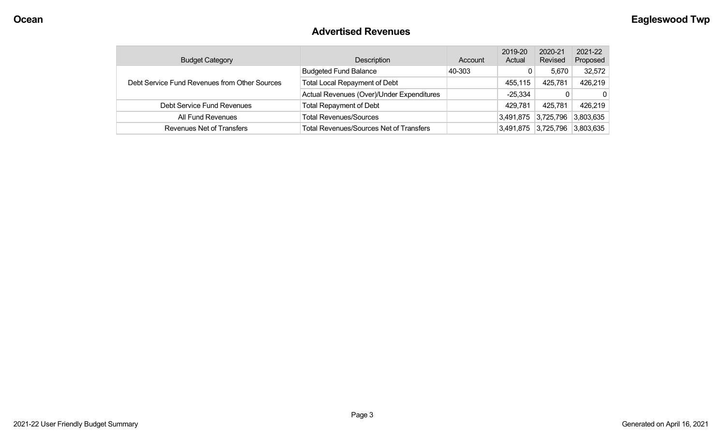### **Advertised Revenues**

| <b>Budget Category</b>                        | <b>Description</b>                             | Account | 2019-20<br>Actual | 2020-21<br>Revised | 2021-22<br>Proposed |
|-----------------------------------------------|------------------------------------------------|---------|-------------------|--------------------|---------------------|
|                                               | <b>Budgeted Fund Balance</b>                   | 40-303  |                   | 5,670              | 32,572              |
| Debt Service Fund Revenues from Other Sources | <b>Total Local Repayment of Debt</b>           |         | 455,115           | 425,781            | 426,219             |
|                                               | Actual Revenues (Over)/Under Expenditures      |         | $-25,334$         | 0                  | $\mathbf{0}$        |
| Debt Service Fund Revenues                    | <b>Total Repayment of Debt</b>                 |         | 429,781           | 425,781            | 426,219             |
| All Fund Revenues                             | <b>Total Revenues/Sources</b>                  |         | 3,491,875         | 3,725,796          | 3,803,635           |
| Revenues Net of Transfers                     | <b>Total Revenues/Sources Net of Transfers</b> |         | 3,491,875         | 3,725,796          | 3,803,635           |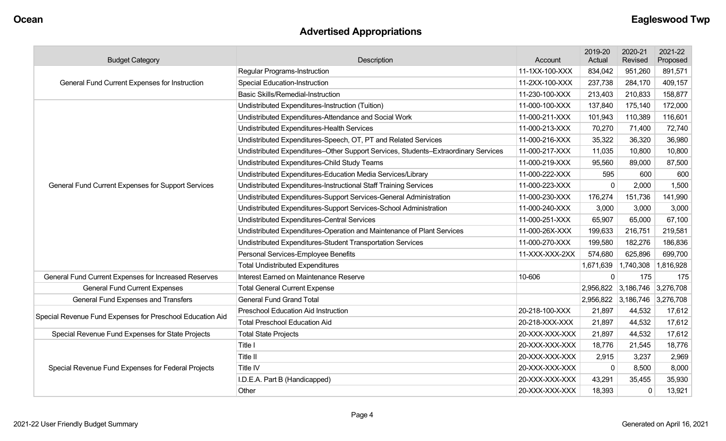# **Advertised Appropriations**

| <b>Budget Category</b>                                    | Description                                                                        | Account        | 2019-20<br>Actual | 2020-21<br>Revised  | 2021-22<br>Proposed |
|-----------------------------------------------------------|------------------------------------------------------------------------------------|----------------|-------------------|---------------------|---------------------|
|                                                           | <b>Regular Programs-Instruction</b>                                                | 11-1XX-100-XXX | 834,042           | 951,260             | 891,571             |
| General Fund Current Expenses for Instruction             | <b>Special Education-Instruction</b>                                               | 11-2XX-100-XXX | 237,738           | 284,170             | 409,157             |
|                                                           | <b>Basic Skills/Remedial-Instruction</b>                                           | 11-230-100-XXX | 213,403           | 210,833             | 158,877             |
|                                                           | Undistributed Expenditures-Instruction (Tuition)                                   | 11-000-100-XXX | 137,840           | 175,140             | 172,000             |
|                                                           | Undistributed Expenditures-Attendance and Social Work                              | 11-000-211-XXX | 101,943           | 110,389             | 116,601             |
|                                                           | Undistributed Expenditures-Health Services                                         | 11-000-213-XXX | 70,270            | 71,400              | 72,740              |
|                                                           | Undistributed Expenditures-Speech, OT, PT and Related Services                     | 11-000-216-XXX | 35,322            | 36,320              | 36,980              |
|                                                           | Undistributed Expenditures-Other Support Services, Students-Extraordinary Services | 11-000-217-XXX | 11,035            | 10,800              | 10,800              |
|                                                           | Undistributed Expenditures-Child Study Teams                                       | 11-000-219-XXX | 95,560            | 89,000              | 87,500              |
|                                                           | Undistributed Expenditures-Education Media Services/Library                        | 11-000-222-XXX | 595               | 600                 | 600                 |
| General Fund Current Expenses for Support Services        | Undistributed Expenditures-Instructional Staff Training Services                   | 11-000-223-XXX | $\mathbf 0$       | 2,000               | 1,500               |
|                                                           | Undistributed Expenditures-Support Services-General Administration                 | 11-000-230-XXX | 176,274           | 151,736             | 141,990             |
|                                                           | Undistributed Expenditures-Support Services-School Administration                  | 11-000-240-XXX | 3,000             | 3,000               | 3,000               |
|                                                           | Undistributed Expenditures-Central Services                                        | 11-000-251-XXX | 65,907            | 65,000              | 67,100              |
|                                                           | Undistributed Expenditures-Operation and Maintenance of Plant Services             | 11-000-26X-XXX | 199,633           | 216,751             | 219,581             |
|                                                           | Undistributed Expenditures-Student Transportation Services                         | 11-000-270-XXX | 199,580           | 182,276             | 186,836             |
|                                                           | Personal Services-Employee Benefits                                                | 11-XXX-XXX-2XX | 574,680           | 625,896             | 699,700             |
|                                                           | <b>Total Undistributed Expenditures</b>                                            |                | 1,671,639         | 1,740,308           | 1,816,928           |
| General Fund Current Expenses for Increased Reserves      | Interest Earned on Maintenance Reserve                                             | 10-606         | $\Omega$          | 175                 | 175                 |
| <b>General Fund Current Expenses</b>                      | <b>Total General Current Expense</b>                                               |                |                   | 2,956,822 3,186,746 | 3,276,708           |
| General Fund Expenses and Transfers                       | <b>General Fund Grand Total</b>                                                    |                | 2,956,822         | 3,186,746           | 3,276,708           |
| Special Revenue Fund Expenses for Preschool Education Aid | <b>Preschool Education Aid Instruction</b>                                         | 20-218-100-XXX | 21,897            | 44,532              | 17,612              |
|                                                           | <b>Total Preschool Education Aid</b>                                               | 20-218-XXX-XXX | 21,897            | 44,532              | 17,612              |
| Special Revenue Fund Expenses for State Projects          | <b>Total State Projects</b>                                                        | 20-XXX-XXX-XXX | 21,897            | 44,532              | 17,612              |
|                                                           | Title I                                                                            | 20-XXX-XXX-XXX | 18,776            | 21,545              | 18,776              |
|                                                           | Title II                                                                           | 20-XXX-XXX-XXX | 2,915             | 3,237               | 2,969               |
| Special Revenue Fund Expenses for Federal Projects        | Title IV                                                                           | 20-XXX-XXX-XXX | $\mathbf 0$       | 8,500               | 8,000               |
|                                                           | I.D.E.A. Part B (Handicapped)                                                      | 20-XXX-XXX-XXX | 43,291            | 35,455              | 35,930              |
|                                                           | Other                                                                              | 20-XXX-XXX-XXX | 18,393            | 0                   | 13,921              |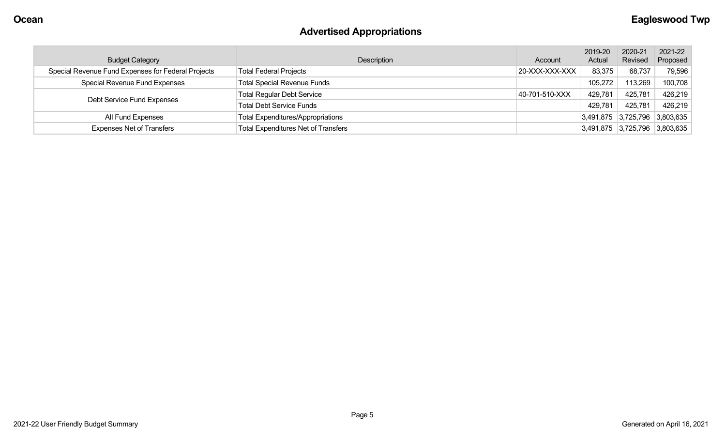# **Advertised Appropriations**

| <b>Budget Category</b>                             | Description                                | Account        | 2019-20<br>Actual | 2020-21<br>Revised            | 2021-22<br>Proposed                    |
|----------------------------------------------------|--------------------------------------------|----------------|-------------------|-------------------------------|----------------------------------------|
| Special Revenue Fund Expenses for Federal Projects | <b>Total Federal Projects</b>              | 20-XXX-XXX-XXX | 83,375            | 68,737                        | 79,596                                 |
| Special Revenue Fund Expenses                      | <b>Total Special Revenue Funds</b>         |                | 105,272           | 113,269                       | 100,708                                |
| Debt Service Fund Expenses                         | <b>Total Regular Debt Service</b>          | 40-701-510-XXX | 429,781           | 425,781                       | 426,219                                |
|                                                    | <b>Total Debt Service Funds</b>            |                | 429,781           | 425,781                       | 426,219                                |
| All Fund Expenses                                  | <b>Total Expenditures/Appropriations</b>   |                |                   | 3,491,875 3,725,796 3,803,635 |                                        |
| <b>Expenses Net of Transfers</b>                   | <b>Total Expenditures Net of Transfers</b> |                |                   |                               | $ 3,491,875 \t 3,725,796 \t 3,803,635$ |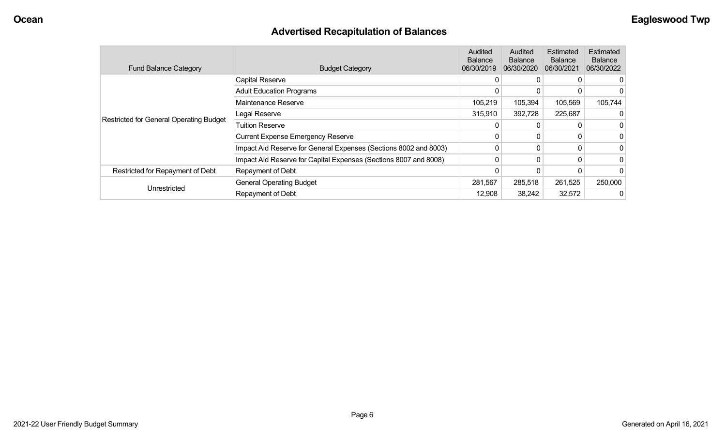## **Advertised Recapitulation of Balances**

| <b>Fund Balance Category</b>                   | <b>Budget Category</b>                                           | Audited<br><b>Balance</b><br>06/30/2019 | Audited<br><b>Balance</b><br>06/30/2020 | Estimated<br><b>Balance</b><br>06/30/2021 | Estimated<br><b>Balance</b><br>06/30/2022 |
|------------------------------------------------|------------------------------------------------------------------|-----------------------------------------|-----------------------------------------|-------------------------------------------|-------------------------------------------|
|                                                | <b>Capital Reserve</b>                                           | 0                                       | 0                                       |                                           |                                           |
|                                                | <b>Adult Education Programs</b>                                  | 0                                       |                                         |                                           |                                           |
|                                                | Maintenance Reserve                                              | 105,219                                 | 105,394                                 | 105,569                                   | 105,744                                   |
|                                                | Legal Reserve                                                    | 315,910                                 | 392,728                                 | 225,687                                   |                                           |
| <b>Restricted for General Operating Budget</b> | <b>Tuition Reserve</b>                                           |                                         |                                         |                                           |                                           |
|                                                | <b>Current Expense Emergency Reserve</b>                         | 0                                       | 0                                       |                                           |                                           |
|                                                | Impact Aid Reserve for General Expenses (Sections 8002 and 8003) | 0                                       | 0                                       |                                           |                                           |
|                                                | Impact Aid Reserve for Capital Expenses (Sections 8007 and 8008) | 0                                       | $\mathbf{0}$                            | 0                                         |                                           |
| Restricted for Repayment of Debt               | Repayment of Debt                                                |                                         | 0                                       |                                           |                                           |
|                                                | <b>General Operating Budget</b>                                  | 281,567                                 | 285,518                                 | 261,525                                   | 250,000                                   |
| Unrestricted                                   | Repayment of Debt                                                | 12,908                                  | 38,242                                  | 32,572                                    |                                           |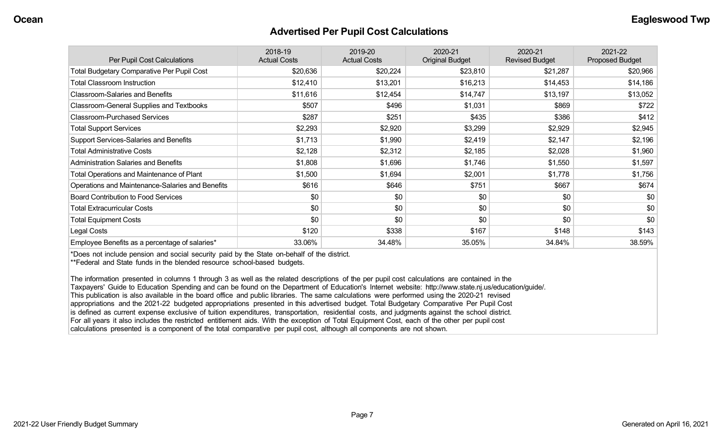#### **Advertised Per Pupil Cost Calculations**

| Per Pupil Cost Calculations                       | 2018-19<br><b>Actual Costs</b> | 2019-20<br><b>Actual Costs</b> | 2020-21<br><b>Original Budget</b> | 2020-21<br><b>Revised Budget</b> | 2021-22<br><b>Proposed Budget</b> |
|---------------------------------------------------|--------------------------------|--------------------------------|-----------------------------------|----------------------------------|-----------------------------------|
| <b>Total Budgetary Comparative Per Pupil Cost</b> | \$20,636                       | \$20,224                       | \$23,810                          | \$21,287                         | \$20,966                          |
| <b>Total Classroom Instruction</b>                | \$12,410                       | \$13,201                       | \$16,213                          | \$14,453                         | \$14,186                          |
| <b>Classroom-Salaries and Benefits</b>            | \$11,616                       | \$12,454                       | \$14,747                          | \$13,197                         | \$13,052                          |
| Classroom-General Supplies and Textbooks          | \$507                          | \$496                          | \$1,031                           | \$869                            | \$722                             |
| <b>Classroom-Purchased Services</b>               | \$287                          | \$251                          | \$435                             | \$386                            | \$412                             |
| <b>Total Support Services</b>                     | \$2,293                        | \$2,920                        | \$3,299                           | \$2,929                          | \$2,945                           |
| Support Services-Salaries and Benefits            | \$1,713                        | \$1,990                        | \$2,419                           | \$2,147                          | \$2,196                           |
| <b>Total Administrative Costs</b>                 | \$2,128                        | \$2,312                        | \$2,185                           | \$2,028                          | \$1,960                           |
| <b>Administration Salaries and Benefits</b>       | \$1,808                        | \$1,696                        | \$1,746                           | \$1,550                          | \$1,597                           |
| Total Operations and Maintenance of Plant         | \$1,500                        | \$1,694                        | \$2,001                           | \$1,778                          | \$1,756                           |
| Operations and Maintenance-Salaries and Benefits  | \$616                          | \$646                          | \$751                             | \$667                            | \$674                             |
| <b>Board Contribution to Food Services</b>        | \$0                            | \$0                            | \$0                               | \$0                              | \$0                               |
| <b>Total Extracurricular Costs</b>                | \$0                            | \$0                            | \$0                               | \$0                              | \$0                               |
| <b>Total Equipment Costs</b>                      | \$0                            | \$0                            | \$0                               | \$0                              | \$0                               |
| Legal Costs                                       | \$120                          | \$338                          | \$167                             | \$148                            | \$143                             |
| Employee Benefits as a percentage of salaries*    | 33.06%                         | 34.48%                         | 35.05%                            | 34.84%                           | 38.59%                            |

\*Does not include pension and social security paid by the State on-behalf of the district.

\*\*Federal and State funds in the blended resource school-based budgets.

The information presented in columns 1 through 3 as well as the related descriptions of the per pupil cost calculations are contained in the Taxpayers' Guide to Education Spending and can be found on the Department of Education's Internet website: http://www.state.nj.us/education/guide/. This publication is also available in the board office and public libraries. The same calculations were performed using the 2020-21 revised appropriations and the 2021-22 budgeted appropriations presented in this advertised budget. Total Budgetary Comparative Per Pupil Cost is defined as current expense exclusive of tuition expenditures, transportation, residential costs, and judgments against the school district. For all years it also includes the restricted entitlement aids. With the exception of Total Equipment Cost, each of the other per pupil cost calculations presented is a component of the total comparative per pupil cost, although all components are not shown.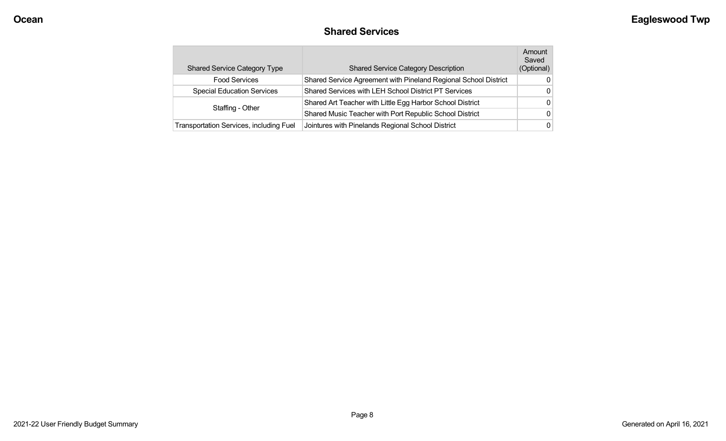### **Shared Services**

| <b>Shared Service Category Type</b>            | <b>Shared Service Category Description</b>                      | Amount<br>Saved<br>(Optional) |
|------------------------------------------------|-----------------------------------------------------------------|-------------------------------|
| <b>Food Services</b>                           | Shared Service Agreement with Pineland Regional School District | 0                             |
| <b>Special Education Services</b>              | Shared Services with LEH School District PT Services            | 0                             |
|                                                | Shared Art Teacher with Little Egg Harbor School District       | 0                             |
| Staffing - Other                               | Shared Music Teacher with Port Republic School District         | 0                             |
| <b>Transportation Services, including Fuel</b> | Jointures with Pinelands Regional School District               | 0                             |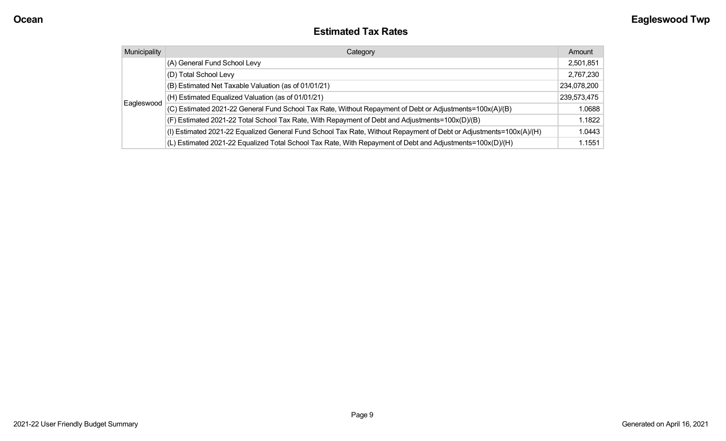### **Estimated Tax Rates**

| Municipality | Category                                                                                                           | Amount      |
|--------------|--------------------------------------------------------------------------------------------------------------------|-------------|
|              | (A) General Fund School Levy                                                                                       | 2,501,851   |
|              | (D) Total School Levy                                                                                              | 2,767,230   |
| Eagleswood   | (B) Estimated Net Taxable Valuation (as of 01/01/21)                                                               | 234,078,200 |
|              | (H) Estimated Equalized Valuation (as of 01/01/21)                                                                 | 239,573,475 |
|              | (C) Estimated 2021-22 General Fund School Tax Rate, Without Repayment of Debt or Adjustments=100x(A)/(B)           | 1.0688      |
|              | (F) Estimated 2021-22 Total School Tax Rate, With Repayment of Debt and Adjustments=100x(D)/(B)                    | 1.1822      |
|              | (I) Estimated 2021-22 Equalized General Fund School Tax Rate, Without Repayment of Debt or Adjustments=100x(A)/(H) | 1.0443      |
|              | (L) Estimated 2021-22 Equalized Total School Tax Rate, With Repayment of Debt and Adjustments=100x(D)/(H)          | 1.1551      |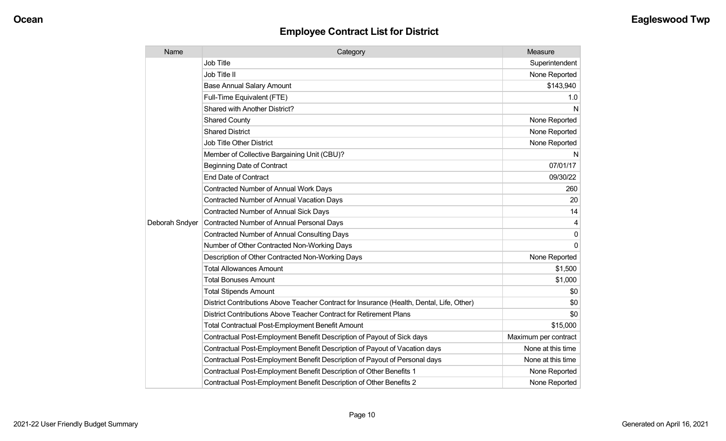## **Employee Contract List for District**

| Name           | Category                                                                                  | Measure              |
|----------------|-------------------------------------------------------------------------------------------|----------------------|
|                | <b>Job Title</b>                                                                          | Superintendent       |
|                | Job Title II                                                                              | None Reported        |
|                | <b>Base Annual Salary Amount</b>                                                          | \$143,940            |
|                | Full-Time Equivalent (FTE)                                                                | 1.0                  |
|                | <b>Shared with Another District?</b>                                                      | N                    |
|                | <b>Shared County</b>                                                                      | None Reported        |
|                | <b>Shared District</b>                                                                    | None Reported        |
|                | <b>Job Title Other District</b>                                                           | None Reported        |
|                | Member of Collective Bargaining Unit (CBU)?                                               | N                    |
|                | <b>Beginning Date of Contract</b>                                                         | 07/01/17             |
|                | <b>End Date of Contract</b>                                                               | 09/30/22             |
|                | <b>Contracted Number of Annual Work Days</b>                                              | 260                  |
|                | <b>Contracted Number of Annual Vacation Days</b>                                          | 20                   |
|                | <b>Contracted Number of Annual Sick Days</b>                                              | 14                   |
| Deborah Sndyer | <b>Contracted Number of Annual Personal Days</b>                                          | 4                    |
|                | <b>Contracted Number of Annual Consulting Days</b>                                        | 0                    |
|                | Number of Other Contracted Non-Working Days                                               | $\Omega$             |
|                | Description of Other Contracted Non-Working Days                                          | None Reported        |
|                | <b>Total Allowances Amount</b>                                                            | \$1,500              |
|                | <b>Total Bonuses Amount</b>                                                               | \$1,000              |
|                | <b>Total Stipends Amount</b>                                                              | \$0                  |
|                | District Contributions Above Teacher Contract for Insurance (Health, Dental, Life, Other) | \$0                  |
|                | District Contributions Above Teacher Contract for Retirement Plans                        | \$0                  |
|                | <b>Total Contractual Post-Employment Benefit Amount</b>                                   | \$15,000             |
|                | Contractual Post-Employment Benefit Description of Payout of Sick days                    | Maximum per contract |
|                | Contractual Post-Employment Benefit Description of Payout of Vacation days                | None at this time    |
|                | Contractual Post-Employment Benefit Description of Payout of Personal days                | None at this time    |
|                | Contractual Post-Employment Benefit Description of Other Benefits 1                       | None Reported        |
|                | Contractual Post-Employment Benefit Description of Other Benefits 2                       | None Reported        |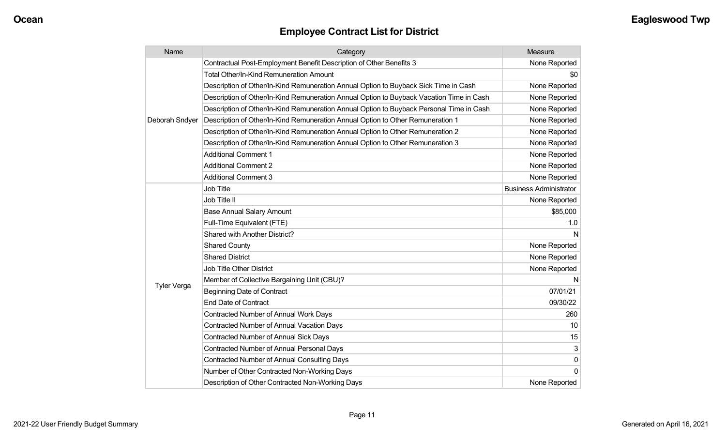## **Employee Contract List for District**

| Name               | Category                                                                                 | Measure                       |
|--------------------|------------------------------------------------------------------------------------------|-------------------------------|
|                    | Contractual Post-Employment Benefit Description of Other Benefits 3                      | None Reported                 |
|                    | Total Other/In-Kind Remuneration Amount                                                  | \$0                           |
|                    | Description of Other/In-Kind Remuneration Annual Option to Buyback Sick Time in Cash     | None Reported                 |
|                    | Description of Other/In-Kind Remuneration Annual Option to Buyback Vacation Time in Cash | None Reported                 |
|                    | Description of Other/In-Kind Remuneration Annual Option to Buyback Personal Time in Cash | None Reported                 |
| Deborah Sndyer     | Description of Other/In-Kind Remuneration Annual Option to Other Remuneration 1          | None Reported                 |
|                    | Description of Other/In-Kind Remuneration Annual Option to Other Remuneration 2          | None Reported                 |
|                    | Description of Other/In-Kind Remuneration Annual Option to Other Remuneration 3          | None Reported                 |
|                    | <b>Additional Comment 1</b>                                                              | None Reported                 |
|                    | <b>Additional Comment 2</b>                                                              | None Reported                 |
|                    | <b>Additional Comment 3</b>                                                              | None Reported                 |
|                    | Job Title                                                                                | <b>Business Administrator</b> |
|                    | Job Title II                                                                             | None Reported                 |
|                    | <b>Base Annual Salary Amount</b>                                                         | \$85,000                      |
|                    | Full-Time Equivalent (FTE)                                                               | 1.0                           |
|                    | Shared with Another District?                                                            | N                             |
|                    | <b>Shared County</b>                                                                     | None Reported                 |
|                    | <b>Shared District</b>                                                                   | None Reported                 |
|                    | Job Title Other District                                                                 | None Reported                 |
|                    | Member of Collective Bargaining Unit (CBU)?                                              | N                             |
| <b>Tyler Verga</b> | <b>Beginning Date of Contract</b>                                                        | 07/01/21                      |
|                    | <b>End Date of Contract</b>                                                              | 09/30/22                      |
|                    | Contracted Number of Annual Work Days                                                    | 260                           |
|                    | <b>Contracted Number of Annual Vacation Days</b>                                         | 10                            |
|                    | <b>Contracted Number of Annual Sick Days</b>                                             | 15                            |
|                    | Contracted Number of Annual Personal Days                                                | 3                             |
|                    | <b>Contracted Number of Annual Consulting Days</b>                                       | $\mathbf{0}$                  |
|                    | Number of Other Contracted Non-Working Days                                              | $\Omega$                      |
|                    | Description of Other Contracted Non-Working Days                                         | None Reported                 |